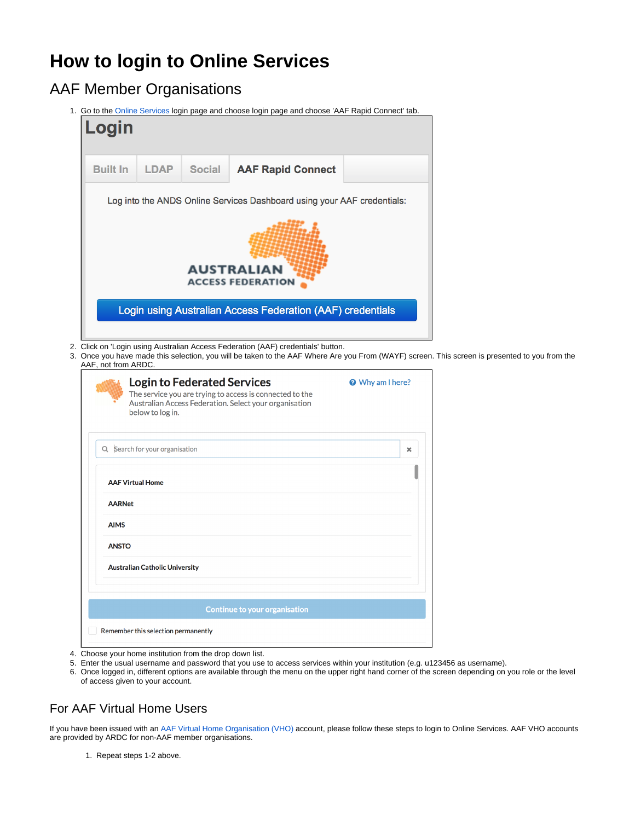## **How to login to Online Services**

## AAF Member Organisations

1. Go to the [Online Services](https://researchdata.edu.au/registry) login page and choose login page and choose 'AAF Rapid Connect' tab.

| Login           |             |               |                                                                         |  |
|-----------------|-------------|---------------|-------------------------------------------------------------------------|--|
| <b>Built In</b> | <b>LDAP</b> | <b>Social</b> | <b>AAF Rapid Connect</b>                                                |  |
|                 |             |               | Log into the ANDS Online Services Dashboard using your AAF credentials: |  |
|                 |             |               | <b>AUSTRALIAN</b><br><b>ACCESS FEDERATION</b>                           |  |
|                 |             |               | Login using Australian Access Federation (AAF) credentials              |  |
|                 |             |               |                                                                         |  |

3. en. This screen is presented to you from the AAF, not from ARDC.

| <b>Login to Federated Services</b><br>The service you are trying to access is connected to the<br>Australian Access Federation. Select your organisation<br>below to log in. | Why am I here? |
|------------------------------------------------------------------------------------------------------------------------------------------------------------------------------|----------------|
| Q Search for your organisation                                                                                                                                               | ×              |
| <b>AAF Virtual Home</b>                                                                                                                                                      |                |
| <b>AARNet</b>                                                                                                                                                                |                |
| <b>AIMS</b>                                                                                                                                                                  |                |
| <b>ANSTO</b>                                                                                                                                                                 |                |
| <b>Australian Catholic University</b>                                                                                                                                        |                |
|                                                                                                                                                                              |                |
| <b>Continue to your organisation</b>                                                                                                                                         |                |
| Remember this selection permanently                                                                                                                                          |                |

- 4. Choose your home institution from the drop down list.
- 5. Enter the usual username and password that you use to access services within your institution (e.g. u123456 as username).
- 6. Once logged in, different options are available through the menu on the upper right hand corner of the screen depending on you role or the level of access given to your account.

## For AAF Virtual Home Users

If you have been issued with an [AAF Virtual Home Organisation \(VHO\)](https://vho.aaf.edu.au) account, please follow these steps to login to Online Services. AAF VHO accounts are provided by ARDC for non-AAF member organisations.

1. Repeat steps 1-2 above.

 $^\circledR$